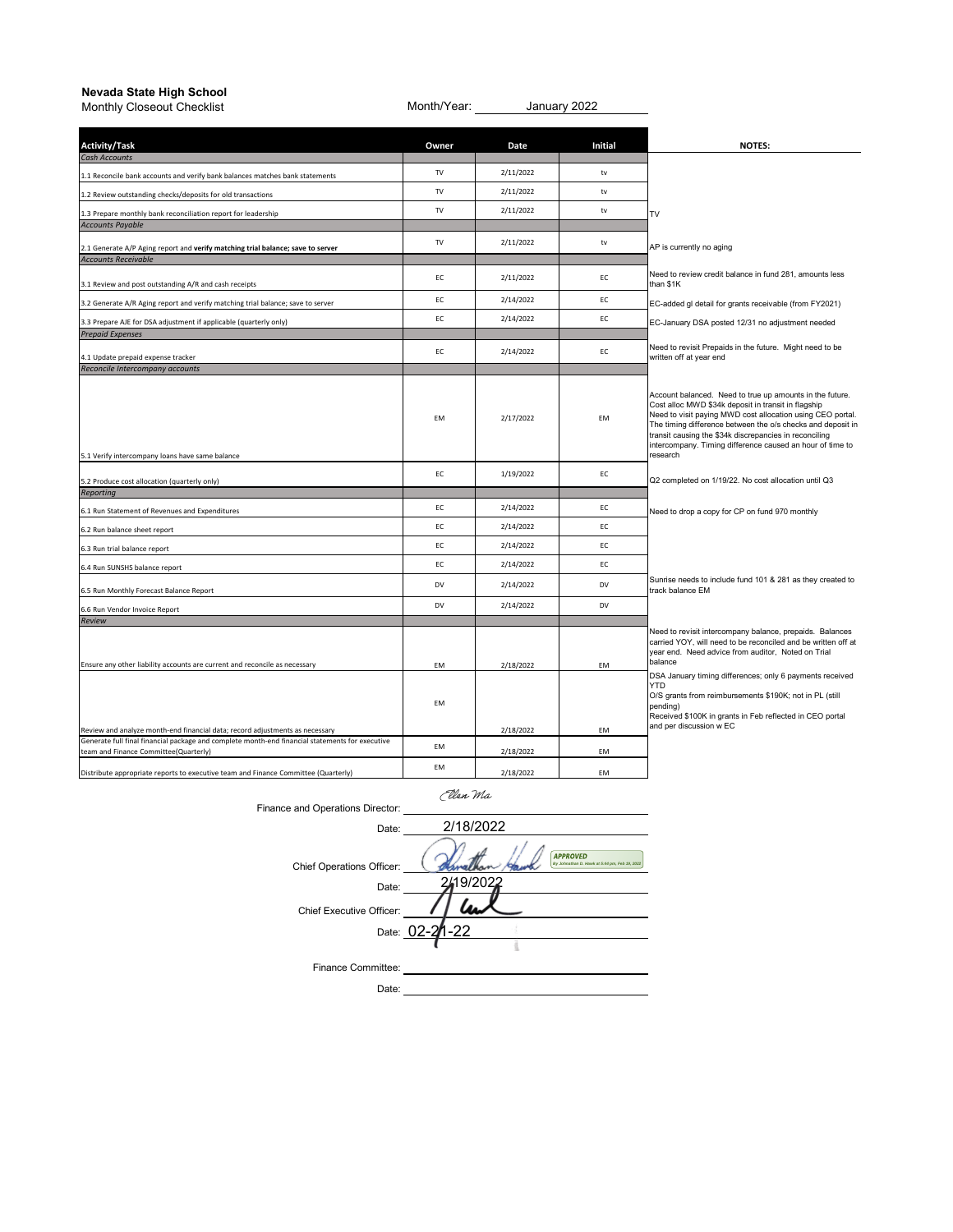## **Nevada State High School**

| וסימטמ טנמנס הואָה טטווטטו<br>Monthly Closeout Checklist                                                                                 | Month/Year: _____ |           | January 2022   |                                                                                                                                                                                                                                                                                                                                                                                 |
|------------------------------------------------------------------------------------------------------------------------------------------|-------------------|-----------|----------------|---------------------------------------------------------------------------------------------------------------------------------------------------------------------------------------------------------------------------------------------------------------------------------------------------------------------------------------------------------------------------------|
| <b>Activity/Task</b>                                                                                                                     | Owner             | Date      | <b>Initial</b> | <b>NOTES:</b>                                                                                                                                                                                                                                                                                                                                                                   |
| <b>Cash Accounts</b>                                                                                                                     | TV                | 2/11/2022 | tv             |                                                                                                                                                                                                                                                                                                                                                                                 |
| 1.1 Reconcile bank accounts and verify bank balances matches bank statements                                                             | $\mathsf{TV}$     | 2/11/2022 | tv             |                                                                                                                                                                                                                                                                                                                                                                                 |
| 1.2 Review outstanding checks/deposits for old transactions                                                                              | $\mathsf{TV}$     | 2/11/2022 | tv             |                                                                                                                                                                                                                                                                                                                                                                                 |
| 1.3 Prepare monthly bank reconciliation report for leadership<br><b>Accounts Payable</b>                                                 |                   |           |                | TV                                                                                                                                                                                                                                                                                                                                                                              |
| 2.1 Generate A/P Aging report and verify matching trial balance; save to server                                                          | $\mathsf{TV}$     | 2/11/2022 | ${\sf tv}$     | AP is currently no aging                                                                                                                                                                                                                                                                                                                                                        |
| <b>Accounts Receivable</b><br>3.1 Review and post outstanding A/R and cash receipts                                                      | EC                | 2/11/2022 | EC             | Need to review credit balance in fund 281, amounts less<br>than \$1K                                                                                                                                                                                                                                                                                                            |
| 3.2 Generate A/R Aging report and verify matching trial balance; save to server                                                          | EC                | 2/14/2022 | EC             | EC-added gl detail for grants receivable (from FY2021)                                                                                                                                                                                                                                                                                                                          |
| 3.3 Prepare AJE for DSA adjustment if applicable (quarterly only)                                                                        | EC                | 2/14/2022 | EC             | EC-January DSA posted 12/31 no adjustment needed                                                                                                                                                                                                                                                                                                                                |
| <b>Prepaid Expenses</b>                                                                                                                  |                   |           |                |                                                                                                                                                                                                                                                                                                                                                                                 |
| 4.1 Update prepaid expense tracker<br>Reconcile Intercompany accounts                                                                    | EC                | 2/14/2022 | EC             | Need to revisit Prepaids in the future. Might need to be<br>written off at year end                                                                                                                                                                                                                                                                                             |
| 5.1 Verify intercompany loans have same balance                                                                                          | EM                | 2/17/2022 | <b>EM</b>      | Account balanced. Need to true up amounts in the future.<br>Cost alloc MWD \$34k deposit in transit in flagship<br>Need to visit paying MWD cost allocation using CEO portal.<br>The timing difference between the o/s checks and deposit in<br>transit causing the \$34k discrepancies in reconciling<br>intercompany. Timing difference caused an hour of time to<br>research |
|                                                                                                                                          | EC                | 1/19/2022 | EC             | Q2 completed on 1/19/22. No cost allocation until Q3                                                                                                                                                                                                                                                                                                                            |
| 5.2 Produce cost allocation (quarterly only)<br>Reporting                                                                                |                   |           |                |                                                                                                                                                                                                                                                                                                                                                                                 |
| 6.1 Run Statement of Revenues and Expenditures                                                                                           | EC                | 2/14/2022 | EC             | Need to drop a copy for CP on fund 970 monthly                                                                                                                                                                                                                                                                                                                                  |
| 6.2 Run balance sheet report                                                                                                             | EC                | 2/14/2022 | EC             |                                                                                                                                                                                                                                                                                                                                                                                 |
| 6.3 Run trial balance report                                                                                                             | EC                | 2/14/2022 | EC             |                                                                                                                                                                                                                                                                                                                                                                                 |
| 6.4 Run SUNSHS balance report                                                                                                            | EC                | 2/14/2022 | EC             |                                                                                                                                                                                                                                                                                                                                                                                 |
| 6.5 Run Monthly Forecast Balance Report                                                                                                  | DV                | 2/14/2022 | <b>DV</b>      | Sunrise needs to include fund 101 & 281 as they created to<br>track balance EM                                                                                                                                                                                                                                                                                                  |
| 6.6 Run Vendor Invoice Report                                                                                                            | DV                | 2/14/2022 | <b>DV</b>      |                                                                                                                                                                                                                                                                                                                                                                                 |
| Review                                                                                                                                   |                   |           |                |                                                                                                                                                                                                                                                                                                                                                                                 |
| Ensure any other liability accounts are current and reconcile as necessary                                                               | EM                | 2/18/2022 | EM             | Need to revisit intercompany balance, prepaids. Balances<br>carried YOY, will need to be reconciled and be written off at<br>year end. Need advice from auditor, Noted on Trial<br>balance<br>DSA January timing differences; only 6 payments received<br><b>YTD</b>                                                                                                            |
| Review and analyze month-end financial data; record adjustments as necessary                                                             | EM                | 2/18/2022 | EM             | O/S grants from reimbursements \$190K; not in PL (still<br>pending)<br>Received \$100K in grants in Feb reflected in CEO portal<br>and per discussion w EC                                                                                                                                                                                                                      |
| Generate full final financial package and complete month-end financial statements for executive<br>team and Finance Committee(Quarterly) | EM                | 2/18/2022 | <b>EM</b>      |                                                                                                                                                                                                                                                                                                                                                                                 |
| Distribute appropriate reports to executive team and Finance Committee (Quarterly)                                                       | EM                | 2/18/2022 | EM             |                                                                                                                                                                                                                                                                                                                                                                                 |

Ellen Ma

|                                  | can ma                                                           |
|----------------------------------|------------------------------------------------------------------|
| Finance and Operations Director: |                                                                  |
| Date:                            | 2/18/2022                                                        |
| Chief Operations Officer:        | <b>APPROVED</b><br>By Johnathan D. Hawk at 5:44 pm, Feb 19, 2022 |
| Date:                            | 19/2022                                                          |
| Chief Executive Officer:         |                                                                  |
|                                  | Date: 02-21-22                                                   |
|                                  |                                                                  |
| Finance Committee:               |                                                                  |
| Date:                            |                                                                  |